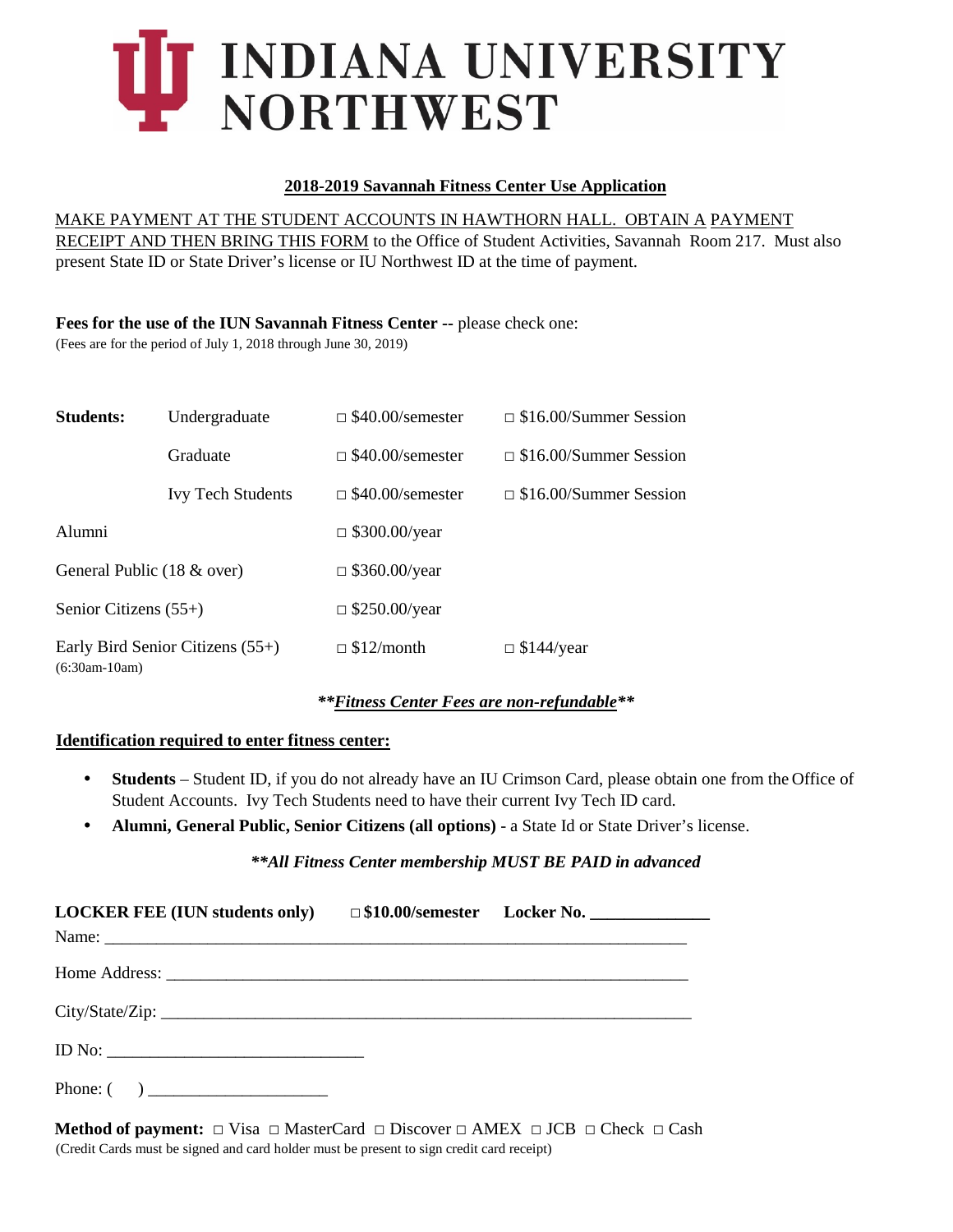# T INDIANA UNIVERSITY NORTHWEST

## **2018-2019 Savannah Fitness Center Use Application**

## MAKE PAYMENT AT THE STUDENT ACCOUNTS IN HAWTHORN HALL. OBTAIN A PAYMENT

RECEIPT AND THEN BRING THIS FORM to the Office of Student Activities, Savannah Room 217. Must also present State ID or State Driver's license or IU Northwest ID at the time of payment.

#### **Fees for the use of the IUN Savannah Fitness Center --** please check one:

(Fees are for the period of July 1, 2018 through June 30, 2019)

| <b>Students:</b>                                    | Undergraduate            | $\Box$ \$40.00/semester | $\Box$ \$16.00/Summer Session |  |
|-----------------------------------------------------|--------------------------|-------------------------|-------------------------------|--|
|                                                     | Graduate                 | $\Box$ \$40.00/semester | $\Box$ \$16.00/Summer Session |  |
|                                                     | <b>Ivy Tech Students</b> | $\Box$ \$40.00/semester | $\Box$ \$16.00/Summer Session |  |
| Alumni                                              |                          | $\Box$ \$300.00/year    |                               |  |
| General Public (18 & over)                          |                          | $\Box$ \$360.00/year    |                               |  |
| Senior Citizens $(55+)$                             |                          | $\Box$ \$250.00/year    |                               |  |
| Early Bird Senior Citizens (55+)<br>$(6:30am-10am)$ |                          | $\Box$ \$12/month       | $\Box$ \$144/year             |  |

## *\*\*Fitness Center Fees are non-refundable\*\**

## **Identification required to enter fitness center:**

- **Students** Student ID, if you do not already have an IU Crimson Card, please obtain one from the Office of Student Accounts. Ivy Tech Students need to have their current Ivy Tech ID card.
- **Alumni, General Public, Senior Citizens (all options)**  a State Id or State Driver's license.

## *\*\*All Fitness Center membership MUST BE PAID in advanced*

| LOCKER FEE (IUN students only) □ \$10.00/semester Locker No. ____________________ |  |  |
|-----------------------------------------------------------------------------------|--|--|
|                                                                                   |  |  |
|                                                                                   |  |  |
|                                                                                   |  |  |
| Phone: $\begin{pmatrix} 0 & 1 \\ 0 & 1 \end{pmatrix}$                             |  |  |

**Method of payment:**  $\Box$  Visa  $\Box$  MasterCard  $\Box$  Discover  $\Box$  AMEX  $\Box$  JCB  $\Box$  Check  $\Box$  Cash (Credit Cards must be signed and card holder must be present to sign credit card receipt)